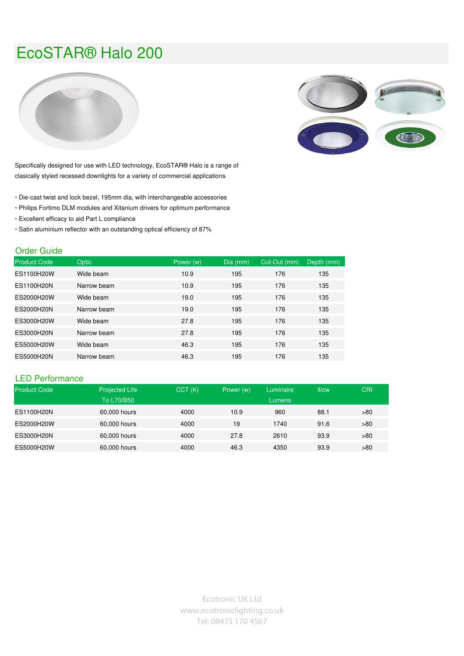## EcoSTAR® Halo 200





Specifically designed for use with LED technology, EcoSTAR® Halo is a range of clasically styled recessed downlights for a variety of commercial applications

- Die-cast twist and lock bezel, 195mm dia, with interchangeable accessories
- Philips Fortimo DLM modules and Xitanium drivers for optimum performance
- Excellent efficacy to aid Part L compliance
- Satin aluminium reflector with an outstanding optical efficiency of 87%

## Order Guide

| <b>Product Code</b> | <b>Optic</b> | Power (w) | Dia (mm) | Cut-Out (mm) | Depth (mm) |
|---------------------|--------------|-----------|----------|--------------|------------|
| ES1100H20W          | Wide beam    | 10.9      | 195      | 176          | 135        |
| ES1100H20N          | Narrow beam  | 10.9      | 195      | 176          | 135        |
| ES2000H20W          | Wide beam    | 19.0      | 195      | 176          | 135        |
| ES2000H20N          | Narrow beam  | 19.0      | 195      | 176          | 135        |
| ES3000H20W          | Wide beam    | 27.8      | 195      | 176          | 135        |
| ES3000H20N          | Narrow beam  | 27.8      | 195      | 176          | 135        |
| ES5000H20W          | Wide beam    | 46.3      | 195      | 176          | 135        |
| ES5000H20N          | Narrow beam  | 46.3      | 195      | 176          | 135        |

## LED Performance

| <b>Product Code</b> | <b>Projected Life</b><br>To L70/B50 | CCT(K) | Power (w) | Luminaire<br>Lumens | II/cw | CRI |
|---------------------|-------------------------------------|--------|-----------|---------------------|-------|-----|
| ES1100H20N          | 60,000 hours                        | 4000   | 10.9      | 960                 | 88.1  | >80 |
| ES2000H20W          | 60,000 hours                        | 4000   | 19        | 1740                | 91.6  | >80 |
| ES3000H20N          | 60,000 hours                        | 4000   | 27.8      | 2610                | 93.9  | >80 |
| ES5000H20W          | 60,000 hours                        | 4000   | 46.3      | 4350                | 93.9  | >80 |